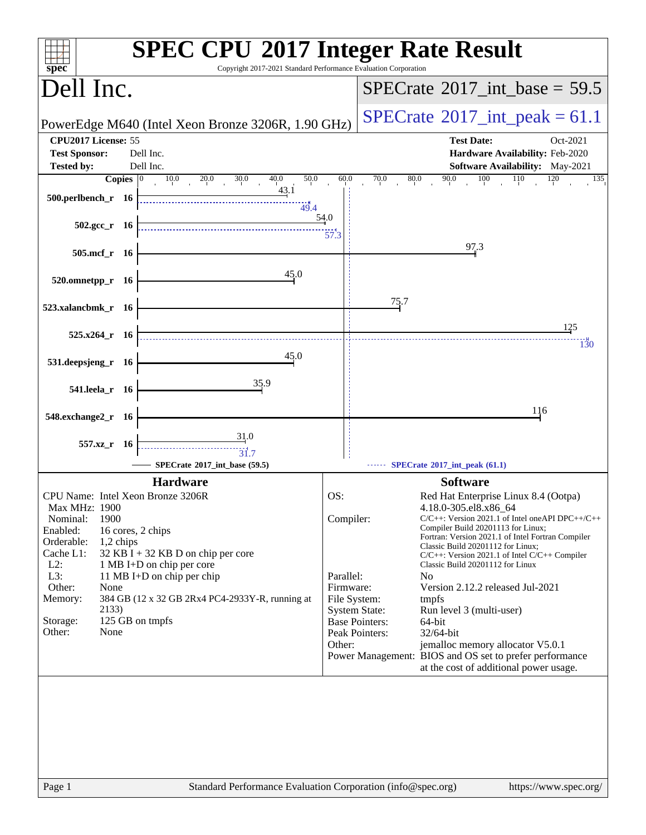| Copyright 2017-2021 Standard Performance Evaluation Corporation<br>spec <sup>®</sup>                    | <b>SPEC CPU®2017 Integer Rate Result</b>                                                                                                                                       |
|---------------------------------------------------------------------------------------------------------|--------------------------------------------------------------------------------------------------------------------------------------------------------------------------------|
| Dell Inc.                                                                                               | $SPECTate$ <sup>®</sup> 2017_int_base = 59.5                                                                                                                                   |
| PowerEdge M640 (Intel Xeon Bronze 3206R, 1.90 GHz)                                                      | $SPECTate^{\circ}2017$ _int_peak = 61.1                                                                                                                                        |
| CPU2017 License: 55<br><b>Test Sponsor:</b><br>Dell Inc.<br><b>Tested by:</b><br>Dell Inc.              | <b>Test Date:</b><br>Oct-2021<br>Hardware Availability: Feb-2020<br>Software Availability: May-2021                                                                            |
| Copies $ 0 $<br>$10.0\,$<br>40.0<br>50.0<br>20.0<br>30.0                                                | 90.0<br><b>100</b><br>$\frac{110}{1}$<br>60.0<br>80.0<br>120<br>70.0<br>135                                                                                                    |
| 43.1<br>500.perlbench_r 16<br>49.4                                                                      |                                                                                                                                                                                |
| $502.\text{gcc r}$ 16                                                                                   | 54.0<br>57.3                                                                                                                                                                   |
| 505.mcf_r 16                                                                                            | 97.3                                                                                                                                                                           |
| 45.0<br>520.omnetpp_r 16                                                                                |                                                                                                                                                                                |
| 523.xalancbmk_r 16                                                                                      | 75.7                                                                                                                                                                           |
| $525.x264$ r 16                                                                                         | 125<br>130                                                                                                                                                                     |
| 45.0<br>531.deepsjeng_r 16                                                                              |                                                                                                                                                                                |
| 35.9<br>541.leela_r 16                                                                                  |                                                                                                                                                                                |
| 548.exchange2_r<br>- 16                                                                                 | 116                                                                                                                                                                            |
| 31.0<br>557.xz_r 16<br>$\dddot{3}$ $\ddot{1}$ .7<br>SPECrate®2017_int_base (59.5)                       | SPECrate*2017_int_peak (61.1)                                                                                                                                                  |
|                                                                                                         |                                                                                                                                                                                |
| <b>Hardware</b>                                                                                         | <b>Software</b>                                                                                                                                                                |
| CPU Name: Intel Xeon Bronze 3206R<br>Max MHz: 1900<br>1900<br>Nominal:<br>Enabled:<br>16 cores, 2 chips | OS:<br>Red Hat Enterprise Linux 8.4 (Ootpa)<br>4.18.0-305.el8.x86_64<br>Compiler:<br>$C/C++$ : Version 2021.1 of Intel one API DPC++/C++<br>Compiler Build 20201113 for Linux; |
| Orderable:<br>$1,2$ chips<br>Cache L1:<br>$32$ KB I + 32 KB D on chip per core                          | Fortran: Version 2021.1 of Intel Fortran Compiler<br>Classic Build 20201112 for Linux;<br>$C/C++$ : Version 2021.1 of Intel $C/C++$ Compiler                                   |
| $L2$ :<br>1 MB I+D on chip per core<br>L3:<br>11 MB I+D on chip per chip<br>Other:<br>None              | Classic Build 20201112 for Linux<br>Parallel:<br>N <sub>0</sub><br>Firmware:<br>Version 2.12.2 released Jul-2021                                                               |
| 384 GB (12 x 32 GB 2Rx4 PC4-2933Y-R, running at<br>Memory:<br>2133)                                     | File System:<br>tmpfs<br><b>System State:</b><br>Run level 3 (multi-user)                                                                                                      |
| 125 GB on tmpfs<br>Storage:<br>Other:<br>None                                                           | <b>Base Pointers:</b><br>64-bit<br>Peak Pointers:<br>32/64-bit<br>Other:<br>jemalloc memory allocator V5.0.1                                                                   |
|                                                                                                         | Power Management: BIOS and OS set to prefer performance<br>at the cost of additional power usage.                                                                              |
|                                                                                                         |                                                                                                                                                                                |
|                                                                                                         |                                                                                                                                                                                |
|                                                                                                         |                                                                                                                                                                                |
| Page 1                                                                                                  | Standard Performance Evaluation Corporation (info@spec.org)<br>https://www.spec.org/                                                                                           |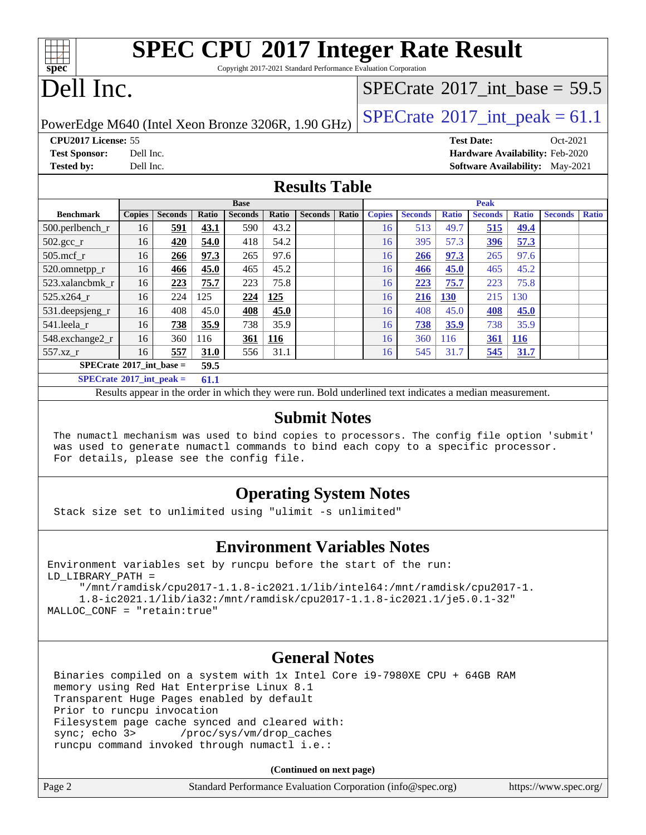# **[SPEC CPU](http://www.spec.org/auto/cpu2017/Docs/result-fields.html#SPECCPU2017IntegerRateResult)[2017 Integer Rate Result](http://www.spec.org/auto/cpu2017/Docs/result-fields.html#SPECCPU2017IntegerRateResult)**

Copyright 2017-2021 Standard Performance Evaluation Corporation

## Dell Inc.

**[spec](http://www.spec.org/)**

 $\pm\pm\prime$ 

#### [SPECrate](http://www.spec.org/auto/cpu2017/Docs/result-fields.html#SPECrate2017intbase)®2017 int\_base =  $59.5$

PowerEdge M640 (Intel Xeon Bronze 3206R, 1.90 GHz)  $\left|$  [SPECrate](http://www.spec.org/auto/cpu2017/Docs/result-fields.html#SPECrate2017intpeak)<sup>®</sup>[2017\\_int\\_peak =](http://www.spec.org/auto/cpu2017/Docs/result-fields.html#SPECrate2017intpeak) 61.1

**[CPU2017 License:](http://www.spec.org/auto/cpu2017/Docs/result-fields.html#CPU2017License)** 55 **[Test Date:](http://www.spec.org/auto/cpu2017/Docs/result-fields.html#TestDate)** Oct-2021 **[Test Sponsor:](http://www.spec.org/auto/cpu2017/Docs/result-fields.html#TestSponsor)** Dell Inc. **[Hardware Availability:](http://www.spec.org/auto/cpu2017/Docs/result-fields.html#HardwareAvailability)** Feb-2020 **[Tested by:](http://www.spec.org/auto/cpu2017/Docs/result-fields.html#Testedby)** Dell Inc. **[Software Availability:](http://www.spec.org/auto/cpu2017/Docs/result-fields.html#SoftwareAvailability)** May-2021

#### **[Results Table](http://www.spec.org/auto/cpu2017/Docs/result-fields.html#ResultsTable)**

|                                       | <b>Base</b>   |                |       |                | <b>Peak</b> |                |       |               |                |              |                |              |                |              |
|---------------------------------------|---------------|----------------|-------|----------------|-------------|----------------|-------|---------------|----------------|--------------|----------------|--------------|----------------|--------------|
| <b>Benchmark</b>                      | <b>Copies</b> | <b>Seconds</b> | Ratio | <b>Seconds</b> | Ratio       | <b>Seconds</b> | Ratio | <b>Copies</b> | <b>Seconds</b> | <b>Ratio</b> | <b>Seconds</b> | <b>Ratio</b> | <b>Seconds</b> | <b>Ratio</b> |
| 500.perlbench_r                       | 16            | 591            | 43.1  | 590            | 43.2        |                |       | 16            | 513            | 49.7         | 515            | <u>49.4</u>  |                |              |
| $502.\text{sec}\text{\_r}$            | 16            | 420            | 54.0  | 418            | 54.2        |                |       | 16            | 395            | 57.3         | <u>396</u>     | 57.3         |                |              |
| $505$ .mcf r                          | 16            | 266            | 97.3  | 265            | 97.6        |                |       | 16            | <u>266</u>     | 97.3         | 265            | 97.6         |                |              |
| 520.omnetpp_r                         | 16            | 466            | 45.0  | 465            | 45.2        |                |       | 16            | 466            | 45.0         | 465            | 45.2         |                |              |
| 523.xalancbmk r                       | 16            | 223            | 75.7  | 223            | 75.8        |                |       | 16            | 223            | 75.7         | 223            | 75.8         |                |              |
| 525.x264 r                            | 16            | 224            | 125   | 224            | 125         |                |       | 16            | 216            | 130          | 215            | 130          |                |              |
| 531.deepsjeng_r                       | 16            | 408            | 45.0  | 408            | 45.0        |                |       | 16            | 408            | 45.0         | <b>408</b>     | 45.0         |                |              |
| 541.leela r                           | 16            | 738            | 35.9  | 738            | 35.9        |                |       | 16            | 738            | 35.9         | 738            | 35.9         |                |              |
| 548.exchange2_r                       | 16            | 360            | 116   | 361            | <u>116</u>  |                |       | 16            | 360            | 116          | 361            | <u>116</u>   |                |              |
| 557.xz r                              | 16            | 557            | 31.0  | 556            | 31.1        |                |       | 16            | 545            | 31.7         | 545            | 31.7         |                |              |
| $SPECrate^*2017\_int\_base =$<br>59.5 |               |                |       |                |             |                |       |               |                |              |                |              |                |              |
| $SPECrate*2017\_int\_peak =$<br>61.1  |               |                |       |                |             |                |       |               |                |              |                |              |                |              |

Results appear in the [order in which they were run.](http://www.spec.org/auto/cpu2017/Docs/result-fields.html#RunOrder) Bold underlined text [indicates a median measurement.](http://www.spec.org/auto/cpu2017/Docs/result-fields.html#Median)

#### **[Submit Notes](http://www.spec.org/auto/cpu2017/Docs/result-fields.html#SubmitNotes)**

 The numactl mechanism was used to bind copies to processors. The config file option 'submit' was used to generate numactl commands to bind each copy to a specific processor. For details, please see the config file.

#### **[Operating System Notes](http://www.spec.org/auto/cpu2017/Docs/result-fields.html#OperatingSystemNotes)**

Stack size set to unlimited using "ulimit -s unlimited"

#### **[Environment Variables Notes](http://www.spec.org/auto/cpu2017/Docs/result-fields.html#EnvironmentVariablesNotes)**

```
Environment variables set by runcpu before the start of the run:
LD_LIBRARY_PATH =
      "/mnt/ramdisk/cpu2017-1.1.8-ic2021.1/lib/intel64:/mnt/ramdisk/cpu2017-1.
      1.8-ic2021.1/lib/ia32:/mnt/ramdisk/cpu2017-1.1.8-ic2021.1/je5.0.1-32"
MALLOC_CONF = "retain:true"
```
#### **[General Notes](http://www.spec.org/auto/cpu2017/Docs/result-fields.html#GeneralNotes)**

 Binaries compiled on a system with 1x Intel Core i9-7980XE CPU + 64GB RAM memory using Red Hat Enterprise Linux 8.1 Transparent Huge Pages enabled by default Prior to runcpu invocation Filesystem page cache synced and cleared with: sync; echo 3> /proc/sys/vm/drop\_caches runcpu command invoked through numactl i.e.:

**(Continued on next page)**

| Page 2 | Standard Performance Evaluation Corporation (info@spec.org) | https://www.spec.org/ |
|--------|-------------------------------------------------------------|-----------------------|
|        |                                                             |                       |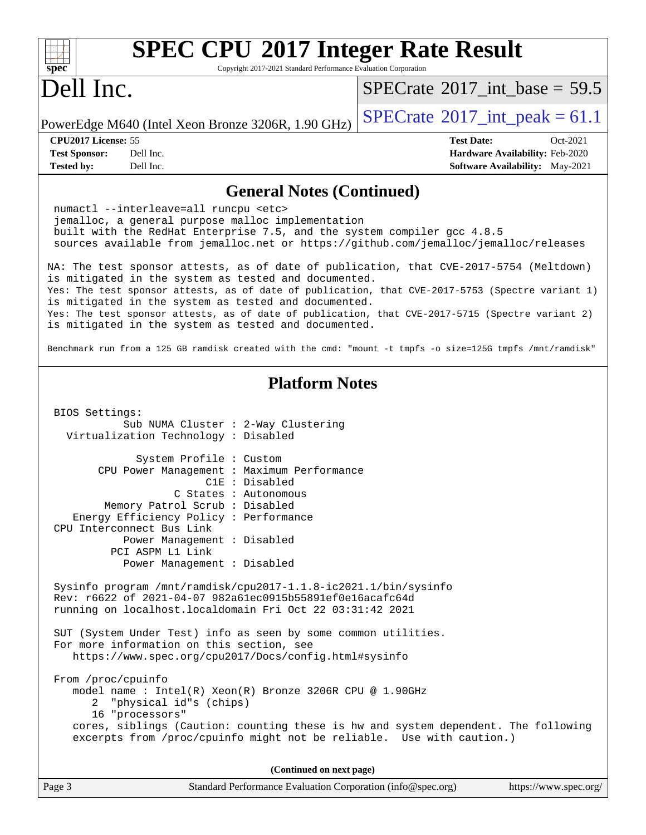| <b>SPEC CPU®2017 Integer Rate Result</b><br>Copyright 2017-2021 Standard Performance Evaluation Corporation<br>spec <sup>®</sup>                                                                                                                                                                                     |                                                                                                     |
|----------------------------------------------------------------------------------------------------------------------------------------------------------------------------------------------------------------------------------------------------------------------------------------------------------------------|-----------------------------------------------------------------------------------------------------|
| Dell Inc.                                                                                                                                                                                                                                                                                                            | $SPECTate$ <sup>®</sup> 2017 int base = 59.5                                                        |
| PowerEdge M640 (Intel Xeon Bronze 3206R, 1.90 GHz)                                                                                                                                                                                                                                                                   | $SPECTate$ <sup>®</sup> 2017_int_peak = 61.1                                                        |
| CPU2017 License: 55<br><b>Test Sponsor:</b><br>Dell Inc.<br><b>Tested by:</b><br>Dell Inc.                                                                                                                                                                                                                           | <b>Test Date:</b><br>Oct-2021<br>Hardware Availability: Feb-2020<br>Software Availability: May-2021 |
| <b>General Notes (Continued)</b>                                                                                                                                                                                                                                                                                     |                                                                                                     |
| numactl --interleave=all runcpu <etc><br/>jemalloc, a general purpose malloc implementation<br/>built with the RedHat Enterprise 7.5, and the system compiler gcc 4.8.5<br/>sources available from jemalloc.net or https://github.com/jemalloc/jemalloc/releases</etc>                                               |                                                                                                     |
| NA: The test sponsor attests, as of date of publication, that CVE-2017-5754 (Meltdown)<br>is mitigated in the system as tested and documented.                                                                                                                                                                       |                                                                                                     |
| Yes: The test sponsor attests, as of date of publication, that CVE-2017-5753 (Spectre variant 1)<br>is mitigated in the system as tested and documented.<br>Yes: The test sponsor attests, as of date of publication, that CVE-2017-5715 (Spectre variant 2)<br>is mitigated in the system as tested and documented. |                                                                                                     |
| Benchmark run from a 125 GB ramdisk created with the cmd: "mount -t tmpfs -o size=125G tmpfs /mnt/ramdisk"                                                                                                                                                                                                           |                                                                                                     |
| <b>Platform Notes</b>                                                                                                                                                                                                                                                                                                |                                                                                                     |
| BIOS Settings:<br>Sub NUMA Cluster : 2-Way Clustering<br>Virtualization Technology : Disabled                                                                                                                                                                                                                        |                                                                                                     |
| System Profile : Custom<br>CPU Power Management : Maximum Performance<br>C1E : Disabled<br>C States : Autonomous<br>Memory Patrol Scrub: Disabled<br>Energy Efficiency Policy : Performance<br>CPU Interconnect Bus Link<br>Power Management : Disabled<br>PCI ASPM L1 Link<br>Power Management : Disabled           |                                                                                                     |
| Sysinfo program /mnt/ramdisk/cpu2017-1.1.8-ic2021.1/bin/sysinfo<br>Rev: r6622 of 2021-04-07 982a61ec0915b55891ef0e16acafc64d<br>running on localhost.localdomain Fri Oct 22 03:31:42 2021                                                                                                                            |                                                                                                     |
| SUT (System Under Test) info as seen by some common utilities.<br>For more information on this section, see<br>https://www.spec.org/cpu2017/Docs/config.html#sysinfo                                                                                                                                                 |                                                                                                     |
| From /proc/cpuinfo<br>model name: $Intel(R)$ Xeon(R) Bronze 3206R CPU @ 1.90GHz<br>"physical id"s (chips)<br>2<br>16 "processors"<br>cores, siblings (Caution: counting these is hw and system dependent. The following<br>excerpts from /proc/cpuinfo might not be reliable. Use with caution.)                     |                                                                                                     |
| (Continued on next page)                                                                                                                                                                                                                                                                                             |                                                                                                     |
| Page 3<br>Standard Performance Evaluation Corporation (info@spec.org)                                                                                                                                                                                                                                                | https://www.spec.org/                                                                               |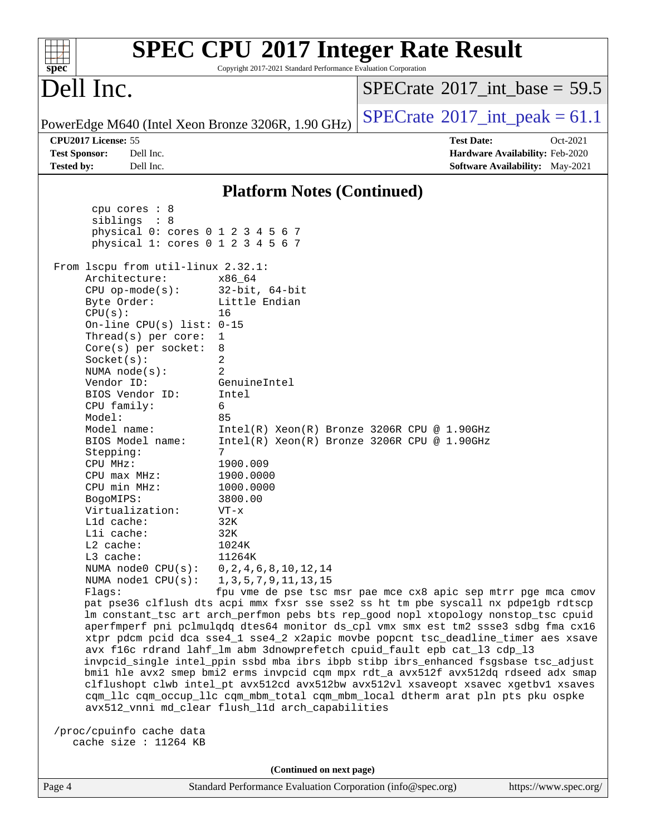| spec <sup>®</sup>                                                                                                                                                                                                                                                                                                                                                                                                                                                                                                                                                    | <b>SPEC CPU®2017 Integer Rate Result</b><br>Copyright 2017-2021 Standard Performance Evaluation Corporation                                                                                                                                                                                                                                                                                                                                                                                                                                    |                                                                                                                                                                                                                                                                                                                                                                                                                                                                                                                |
|----------------------------------------------------------------------------------------------------------------------------------------------------------------------------------------------------------------------------------------------------------------------------------------------------------------------------------------------------------------------------------------------------------------------------------------------------------------------------------------------------------------------------------------------------------------------|------------------------------------------------------------------------------------------------------------------------------------------------------------------------------------------------------------------------------------------------------------------------------------------------------------------------------------------------------------------------------------------------------------------------------------------------------------------------------------------------------------------------------------------------|----------------------------------------------------------------------------------------------------------------------------------------------------------------------------------------------------------------------------------------------------------------------------------------------------------------------------------------------------------------------------------------------------------------------------------------------------------------------------------------------------------------|
| Dell Inc.                                                                                                                                                                                                                                                                                                                                                                                                                                                                                                                                                            |                                                                                                                                                                                                                                                                                                                                                                                                                                                                                                                                                | $SPECTate$ <sup>®</sup> 2017 int base = 59.5                                                                                                                                                                                                                                                                                                                                                                                                                                                                   |
|                                                                                                                                                                                                                                                                                                                                                                                                                                                                                                                                                                      | PowerEdge M640 (Intel Xeon Bronze 3206R, 1.90 GHz)                                                                                                                                                                                                                                                                                                                                                                                                                                                                                             | $SPECrate^{\circ}2017\_int\_peak = 61.1$                                                                                                                                                                                                                                                                                                                                                                                                                                                                       |
| CPU2017 License: 55<br><b>Test Sponsor:</b><br>Dell Inc.<br><b>Tested by:</b><br>Dell Inc.                                                                                                                                                                                                                                                                                                                                                                                                                                                                           |                                                                                                                                                                                                                                                                                                                                                                                                                                                                                                                                                | <b>Test Date:</b><br>Oct-2021<br>Hardware Availability: Feb-2020<br><b>Software Availability:</b> May-2021                                                                                                                                                                                                                                                                                                                                                                                                     |
|                                                                                                                                                                                                                                                                                                                                                                                                                                                                                                                                                                      | <b>Platform Notes (Continued)</b>                                                                                                                                                                                                                                                                                                                                                                                                                                                                                                              |                                                                                                                                                                                                                                                                                                                                                                                                                                                                                                                |
| cpu cores $: 8$<br>siblings : 8<br>From 1scpu from util-linux 2.32.1:<br>Architecture:<br>$CPU$ op-mode( $s$ ):<br>Byte Order:<br>CPU(s):<br>On-line CPU(s) list: 0-15<br>Thread( $s$ ) per core:<br>$Core(s)$ per socket:<br>Socket(s):<br>NUMA $node(s):$<br>Vendor ID:<br>BIOS Vendor ID:<br>CPU family:<br>Model:<br>Model name:<br>BIOS Model name:<br>Stepping:<br>CPU MHz:<br>$CPU$ $max$ $MHz$ :<br>CPU min MHz:<br>BogoMIPS:<br>Virtualization:<br>Lld cache:<br>Lli cache:<br>L2 cache:<br>L3 cache:<br>NUMA node0 CPU(s):<br>NUMA nodel CPU(s):<br>Flags: | physical 0: cores 0 1 2 3 4 5 6 7<br>physical 1: cores 0 1 2 3 4 5 6 7<br>x86 64<br>$32$ -bit, $64$ -bit<br>Little Endian<br>16<br>1<br>8<br>2<br>$\overline{2}$<br>GenuineIntel<br>Intel<br>6<br>85<br>$Intel(R) Xeon(R) Bronze 3206R CPU @ 1.90GHz$<br>$Intel(R) Xeon(R) Bronze 3206R CPU @ 1.90GHz$<br>7<br>1900.009<br>1900.0000<br>1000.0000<br>3800.00<br>$VT - x$<br>32K<br>32K<br>1024K<br>11264K<br>0, 2, 4, 6, 8, 10, 12, 14<br>1, 3, 5, 7, 9, 11, 13, 15<br>avx f16c rdrand lahf_lm abm 3dnowprefetch cpuid_fault epb cat_13 cdp_13 | fpu vme de pse tsc msr pae mce cx8 apic sep mtrr pge mca cmov<br>pat pse36 clflush dts acpi mmx fxsr sse sse2 ss ht tm pbe syscall nx pdpelgb rdtscp<br>lm constant_tsc art arch_perfmon pebs bts rep_good nopl xtopology nonstop_tsc cpuid<br>aperfmperf pni pclmulqdq dtes64 monitor ds_cpl vmx smx est tm2 ssse3 sdbg fma cx16<br>xtpr pdcm pcid dca sse4_1 sse4_2 x2apic movbe popcnt tsc_deadline_timer aes xsave<br>invpcid_single intel_ppin ssbd mba ibrs ibpb stibp ibrs_enhanced fsgsbase tsc_adjust |
|                                                                                                                                                                                                                                                                                                                                                                                                                                                                                                                                                                      | avx512_vnni md_clear flush_lld arch_capabilities                                                                                                                                                                                                                                                                                                                                                                                                                                                                                               | bmil hle avx2 smep bmi2 erms invpcid cqm mpx rdt_a avx512f avx512dq rdseed adx smap<br>clflushopt clwb intel_pt avx512cd avx512bw avx512vl xsaveopt xsavec xgetbvl xsaves<br>cqm_llc cqm_occup_llc cqm_mbm_total cqm_mbm_local dtherm arat pln pts pku ospke                                                                                                                                                                                                                                                   |
| /proc/cpuinfo cache data<br>cache size : 11264 KB                                                                                                                                                                                                                                                                                                                                                                                                                                                                                                                    |                                                                                                                                                                                                                                                                                                                                                                                                                                                                                                                                                |                                                                                                                                                                                                                                                                                                                                                                                                                                                                                                                |
|                                                                                                                                                                                                                                                                                                                                                                                                                                                                                                                                                                      | (Continued on next page)                                                                                                                                                                                                                                                                                                                                                                                                                                                                                                                       |                                                                                                                                                                                                                                                                                                                                                                                                                                                                                                                |
| Page 4                                                                                                                                                                                                                                                                                                                                                                                                                                                                                                                                                               | Standard Performance Evaluation Corporation (info@spec.org)                                                                                                                                                                                                                                                                                                                                                                                                                                                                                    | https://www.spec.org/                                                                                                                                                                                                                                                                                                                                                                                                                                                                                          |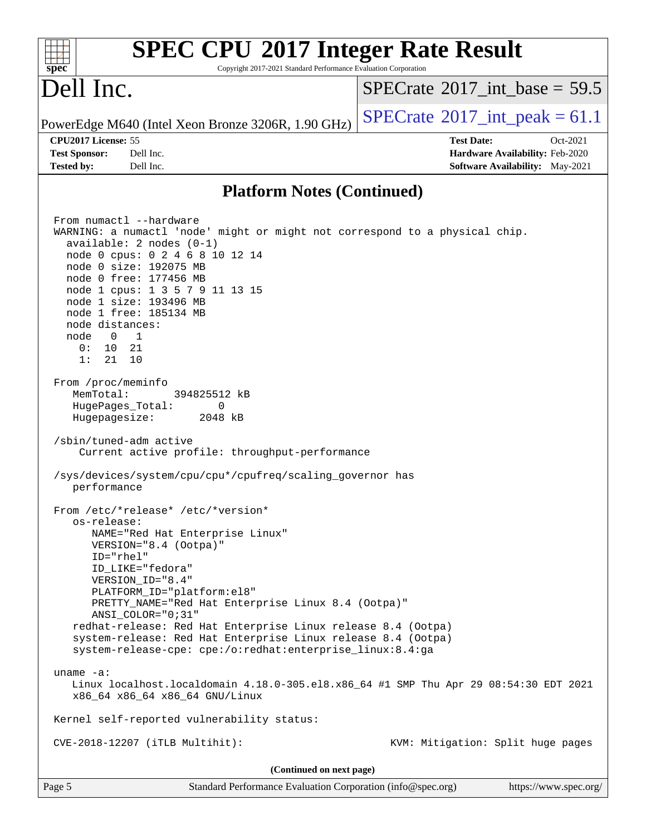| <b>SPEC CPU®2017 Integer Rate Result</b><br>spec <sup>®</sup><br>Copyright 2017-2021 Standard Performance Evaluation Corporation                                                                                                                                                                                                                                                                                                                                                                                                                                                                                                              |                                          |
|-----------------------------------------------------------------------------------------------------------------------------------------------------------------------------------------------------------------------------------------------------------------------------------------------------------------------------------------------------------------------------------------------------------------------------------------------------------------------------------------------------------------------------------------------------------------------------------------------------------------------------------------------|------------------------------------------|
| Dell Inc.                                                                                                                                                                                                                                                                                                                                                                                                                                                                                                                                                                                                                                     | $SPECrate^{\circ}2017\_int\_base = 59.5$ |
| PowerEdge M640 (Intel Xeon Bronze 3206R, 1.90 GHz)                                                                                                                                                                                                                                                                                                                                                                                                                                                                                                                                                                                            | $SPECrate^{\circ}2017\_int\_peak = 61.1$ |
| CPU2017 License: 55                                                                                                                                                                                                                                                                                                                                                                                                                                                                                                                                                                                                                           | <b>Test Date:</b><br>Oct-2021            |
| <b>Test Sponsor:</b><br>Dell Inc.                                                                                                                                                                                                                                                                                                                                                                                                                                                                                                                                                                                                             | Hardware Availability: Feb-2020          |
| <b>Tested by:</b><br>Dell Inc.                                                                                                                                                                                                                                                                                                                                                                                                                                                                                                                                                                                                                | Software Availability: May-2021          |
| <b>Platform Notes (Continued)</b>                                                                                                                                                                                                                                                                                                                                                                                                                                                                                                                                                                                                             |                                          |
| From numactl --hardware<br>WARNING: a numactl 'node' might or might not correspond to a physical chip.<br>$available: 2 nodes (0-1)$<br>node 0 cpus: 0 2 4 6 8 10 12 14<br>node 0 size: 192075 MB<br>node 0 free: 177456 MB<br>node 1 cpus: 1 3 5 7 9 11 13 15<br>node 1 size: 193496 MB<br>node 1 free: 185134 MB<br>node distances:<br>node<br>0<br>1<br>0 :<br>10<br>21<br>1:<br>21<br>10<br>From /proc/meminfo<br>MemTotal:<br>394825512 kB<br>HugePages_Total:<br>0<br>Hugepagesize:<br>2048 kB<br>/sbin/tuned-adm active<br>Current active profile: throughput-performance<br>/sys/devices/system/cpu/cpu*/cpufreq/scaling_governor has |                                          |
| performance<br>From /etc/*release* /etc/*version*                                                                                                                                                                                                                                                                                                                                                                                                                                                                                                                                                                                             |                                          |
| os-release:                                                                                                                                                                                                                                                                                                                                                                                                                                                                                                                                                                                                                                   |                                          |
| NAME="Red Hat Enterprise Linux"<br>VERSION="8.4 (Ootpa)"                                                                                                                                                                                                                                                                                                                                                                                                                                                                                                                                                                                      |                                          |
| ID="rhel"                                                                                                                                                                                                                                                                                                                                                                                                                                                                                                                                                                                                                                     |                                          |
| ID_LIKE="fedora"                                                                                                                                                                                                                                                                                                                                                                                                                                                                                                                                                                                                                              |                                          |
| VERSION_ID="8.4"<br>PLATFORM_ID="platform:el8"                                                                                                                                                                                                                                                                                                                                                                                                                                                                                                                                                                                                |                                          |
| PRETTY_NAME="Red Hat Enterprise Linux 8.4 (Ootpa)"                                                                                                                                                                                                                                                                                                                                                                                                                                                                                                                                                                                            |                                          |
| ANSI_COLOR="0;31"                                                                                                                                                                                                                                                                                                                                                                                                                                                                                                                                                                                                                             |                                          |
| redhat-release: Red Hat Enterprise Linux release 8.4 (Ootpa)<br>system-release: Red Hat Enterprise Linux release 8.4 (Ootpa)<br>system-release-cpe: cpe:/o:redhat:enterprise_linux:8.4:ga                                                                                                                                                                                                                                                                                                                                                                                                                                                     |                                          |
| uname $-a$ :                                                                                                                                                                                                                                                                                                                                                                                                                                                                                                                                                                                                                                  |                                          |
| Linux localhost.localdomain 4.18.0-305.el8.x86_64 #1 SMP Thu Apr 29 08:54:30 EDT 2021<br>x86_64 x86_64 x86_64 GNU/Linux                                                                                                                                                                                                                                                                                                                                                                                                                                                                                                                       |                                          |
| Kernel self-reported vulnerability status:                                                                                                                                                                                                                                                                                                                                                                                                                                                                                                                                                                                                    |                                          |
| $CVE-2018-12207$ (iTLB Multihit):                                                                                                                                                                                                                                                                                                                                                                                                                                                                                                                                                                                                             | KVM: Mitigation: Split huge pages        |
| (Continued on next page)                                                                                                                                                                                                                                                                                                                                                                                                                                                                                                                                                                                                                      |                                          |
| Page 5<br>Standard Performance Evaluation Corporation (info@spec.org)                                                                                                                                                                                                                                                                                                                                                                                                                                                                                                                                                                         | https://www.spec.org/                    |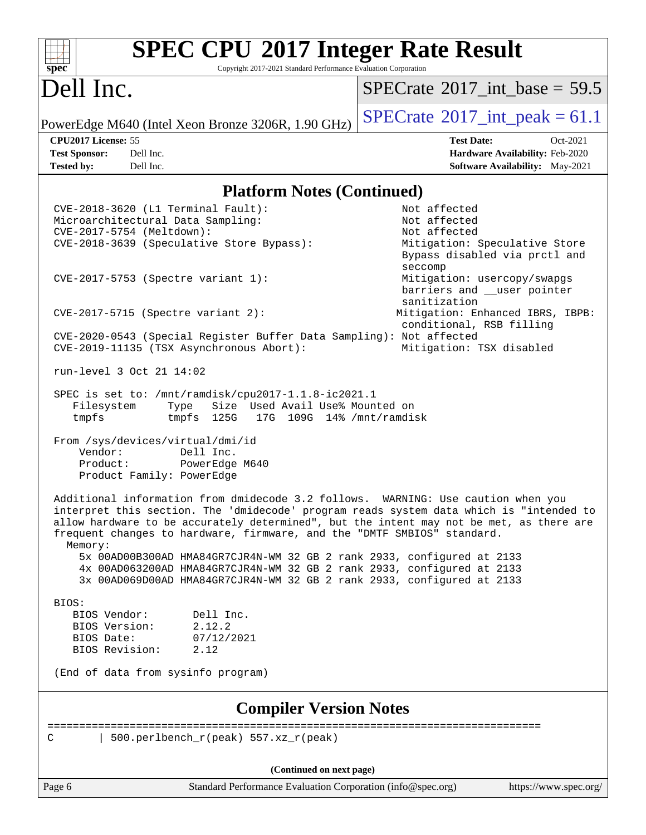| <b>SPEC CPU®2017 Integer Rate Result</b><br>Copyright 2017-2021 Standard Performance Evaluation Corporation<br>$spec^*$                                                                                                                                                                                                         |                                                                            |
|---------------------------------------------------------------------------------------------------------------------------------------------------------------------------------------------------------------------------------------------------------------------------------------------------------------------------------|----------------------------------------------------------------------------|
| Dell Inc.                                                                                                                                                                                                                                                                                                                       | $SPECrate^{\circledast}2017$ int base = 59.5                               |
| PowerEdge M640 (Intel Xeon Bronze 3206R, 1.90 GHz)                                                                                                                                                                                                                                                                              | $SPECrate^{\circ}2017\_int\_peak = 61.1$                                   |
| CPU2017 License: 55                                                                                                                                                                                                                                                                                                             | <b>Test Date:</b><br>Oct-2021                                              |
| Dell Inc.<br><b>Test Sponsor:</b>                                                                                                                                                                                                                                                                                               | Hardware Availability: Feb-2020                                            |
| Dell Inc.<br><b>Tested by:</b>                                                                                                                                                                                                                                                                                                  | <b>Software Availability:</b> May-2021                                     |
| <b>Platform Notes (Continued)</b>                                                                                                                                                                                                                                                                                               |                                                                            |
| CVE-2018-3620 (L1 Terminal Fault):                                                                                                                                                                                                                                                                                              | Not affected                                                               |
| Microarchitectural Data Sampling:                                                                                                                                                                                                                                                                                               | Not affected                                                               |
| CVE-2017-5754 (Meltdown):                                                                                                                                                                                                                                                                                                       | Not affected                                                               |
| CVE-2018-3639 (Speculative Store Bypass):                                                                                                                                                                                                                                                                                       | Mitigation: Speculative Store<br>Bypass disabled via prctl and<br>seccomp  |
| CVE-2017-5753 (Spectre variant 1):                                                                                                                                                                                                                                                                                              | Mitigation: usercopy/swapgs<br>barriers and __user pointer<br>sanitization |
| $CVE-2017-5715$ (Spectre variant 2):                                                                                                                                                                                                                                                                                            | Mitigation: Enhanced IBRS, IBPB:<br>conditional, RSB filling               |
| CVE-2020-0543 (Special Register Buffer Data Sampling): Not affected<br>CVE-2019-11135 (TSX Asynchronous Abort):                                                                                                                                                                                                                 | Mitigation: TSX disabled                                                   |
| run-level 3 Oct 21 14:02                                                                                                                                                                                                                                                                                                        |                                                                            |
| SPEC is set to: /mnt/ramdisk/cpu2017-1.1.8-ic2021.1<br>Size Used Avail Use% Mounted on<br>Filesystem<br>Type<br>tmpfs<br>tmpfs 125G<br>17G 109G 14% / mnt/ramdisk                                                                                                                                                               |                                                                            |
| From /sys/devices/virtual/dmi/id<br>Vendor:<br>Dell Inc.<br>PowerEdge M640<br>Product:<br>Product Family: PowerEdge                                                                                                                                                                                                             |                                                                            |
| Additional information from dmidecode 3.2 follows.<br>interpret this section. The 'dmidecode' program reads system data which is "intended to<br>allow hardware to be accurately determined", but the intent may not be met, as there are<br>frequent changes to hardware, firmware, and the "DMTF SMBIOS" standard.<br>Memory: | WARNING: Use caution when you                                              |
| 5x 00AD00B300AD HMA84GR7CJR4N-WM 32 GB 2 rank 2933, configured at 2133<br>4x 00AD063200AD HMA84GR7CJR4N-WM 32 GB 2 rank 2933, configured at 2133<br>3x 00AD069D00AD HMA84GR7CJR4N-WM 32 GB 2 rank 2933, configured at 2133                                                                                                      |                                                                            |
| BIOS:<br>BIOS Vendor:<br>Dell Inc.<br>2.12.2<br>BIOS Version:<br>BIOS Date:<br>07/12/2021<br>BIOS Revision:<br>2.12                                                                                                                                                                                                             |                                                                            |
| (End of data from sysinfo program)                                                                                                                                                                                                                                                                                              |                                                                            |
| <b>Compiler Version Notes</b>                                                                                                                                                                                                                                                                                                   |                                                                            |
| 500.perlbench_r(peak) 557.xz_r(peak)<br>C                                                                                                                                                                                                                                                                                       |                                                                            |
| (Continued on next page)                                                                                                                                                                                                                                                                                                        |                                                                            |
|                                                                                                                                                                                                                                                                                                                                 |                                                                            |

Page 6 Standard Performance Evaluation Corporation [\(info@spec.org\)](mailto:info@spec.org) <https://www.spec.org/>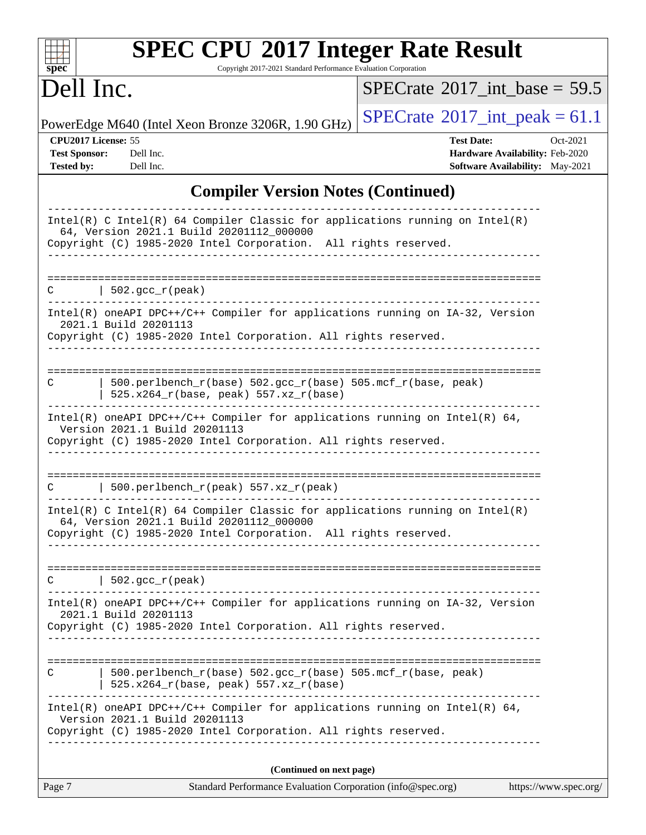| spec                                                             | <b>SPEC CPU®2017 Integer Rate Result</b><br>Copyright 2017-2021 Standard Performance Evaluation Corporation                                                                                                  |                                              |                                                                                       |
|------------------------------------------------------------------|--------------------------------------------------------------------------------------------------------------------------------------------------------------------------------------------------------------|----------------------------------------------|---------------------------------------------------------------------------------------|
| Dell Inc.                                                        |                                                                                                                                                                                                              | $SPECTate$ <sup>®</sup> 2017_int_base = 59.5 |                                                                                       |
|                                                                  | PowerEdge M640 (Intel Xeon Bronze 3206R, 1.90 GHz)                                                                                                                                                           | $SPECrate^{\circ}2017\_int\_peak = 61.1$     |                                                                                       |
| CPU2017 License: 55<br><b>Test Sponsor:</b><br><b>Tested by:</b> | Dell Inc.<br>Dell Inc.                                                                                                                                                                                       | <b>Test Date:</b>                            | Oct-2021<br>Hardware Availability: Feb-2020<br><b>Software Availability:</b> May-2021 |
|                                                                  | <b>Compiler Version Notes (Continued)</b>                                                                                                                                                                    |                                              |                                                                                       |
|                                                                  | $Intel(R)$ C Intel(R) 64 Compiler Classic for applications running on Intel(R)<br>64, Version 2021.1 Build 20201112_000000<br>Copyright (C) 1985-2020 Intel Corporation. All rights reserved.                |                                              |                                                                                       |
| C                                                                | $502.\text{gcc\_r}(\text{peak})$                                                                                                                                                                             |                                              |                                                                                       |
|                                                                  | Intel(R) oneAPI DPC++/C++ Compiler for applications running on IA-32, Version<br>2021.1 Build 20201113<br>Copyright (C) 1985-2020 Intel Corporation. All rights reserved.                                    |                                              |                                                                                       |
| C                                                                | 500.perlbench_r(base) 502.gcc_r(base) 505.mcf_r(base, peak)<br>525.x264_r(base, peak) 557.xz_r(base)                                                                                                         |                                              |                                                                                       |
|                                                                  | Intel(R) oneAPI DPC++/C++ Compiler for applications running on Intel(R) $64$ ,<br>Version 2021.1 Build 20201113<br>Copyright (C) 1985-2020 Intel Corporation. All rights reserved.                           |                                              |                                                                                       |
| C                                                                | 500.perlbench_r(peak) 557.xz_r(peak)                                                                                                                                                                         |                                              |                                                                                       |
|                                                                  | -----------<br>$Intel(R)$ C Intel(R) 64 Compiler Classic for applications running on Intel(R)<br>64, Version 2021.1 Build 20201112_000000<br>Copyright (C) 1985-2020 Intel Corporation. All rights reserved. |                                              |                                                                                       |
| C                                                                | $\vert$ 502.gcc_r(peak)                                                                                                                                                                                      |                                              |                                                                                       |
|                                                                  | Intel(R) oneAPI DPC++/C++ Compiler for applications running on IA-32, Version<br>2021.1 Build 20201113<br>Copyright (C) 1985-2020 Intel Corporation. All rights reserved.                                    |                                              |                                                                                       |
| $\mathbb{C}$                                                     | $500. perlbench_r(base) 502. gcc_r(base) 505.mcf_r(base, peak)$<br>$525.x264_r(base, peak) 557.xz_r(base)$                                                                                                   |                                              |                                                                                       |
|                                                                  | Intel(R) oneAPI DPC++/C++ Compiler for applications running on Intel(R) $64$ ,<br>Version 2021.1 Build 20201113<br>Copyright (C) 1985-2020 Intel Corporation. All rights reserved.                           |                                              |                                                                                       |
|                                                                  | (Continued on next page)                                                                                                                                                                                     |                                              |                                                                                       |
| Page 7                                                           | Standard Performance Evaluation Corporation (info@spec.org)                                                                                                                                                  |                                              | https://www.spec.org/                                                                 |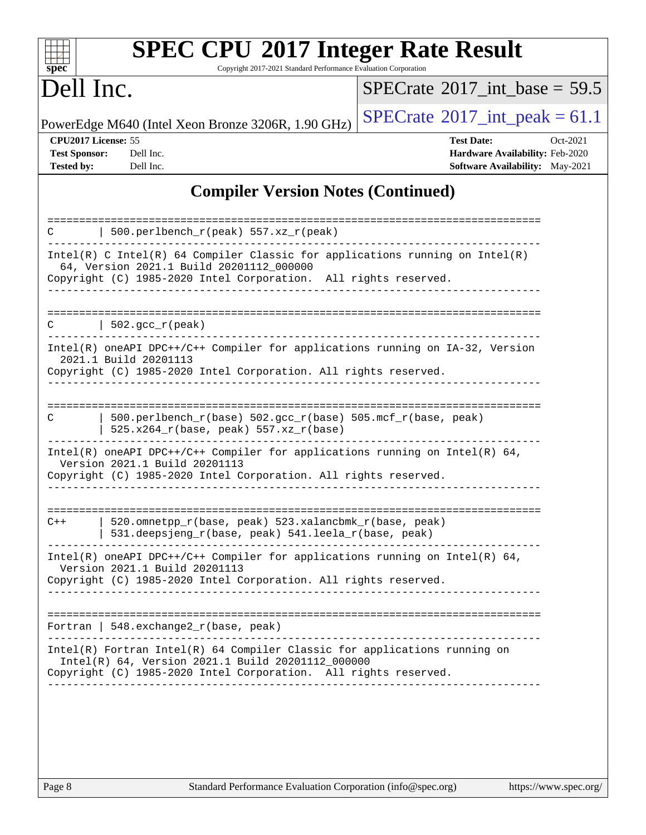| Dell Inc.                                                                                                                                                                                                     | $SPECTate$ <sup>®</sup> 2017_int_base = 59.5                                                               |
|---------------------------------------------------------------------------------------------------------------------------------------------------------------------------------------------------------------|------------------------------------------------------------------------------------------------------------|
| PowerEdge M640 (Intel Xeon Bronze 3206R, 1.90 GHz)                                                                                                                                                            | $SPECrate^{\circledast}2017\_int\_peak = 61.1$                                                             |
| CPU2017 License: 55<br><b>Test Sponsor:</b><br>Dell Inc.<br><b>Tested by:</b><br>Dell Inc.                                                                                                                    | <b>Test Date:</b><br>Oct-2021<br>Hardware Availability: Feb-2020<br><b>Software Availability:</b> May-2021 |
| <b>Compiler Version Notes (Continued)</b>                                                                                                                                                                     |                                                                                                            |
| -----------<br>500.perlbench_r(peak) 557.xz_r(peak)<br>C                                                                                                                                                      | ============================                                                                               |
| Intel(R) C Intel(R) 64 Compiler Classic for applications running on Intel(R)<br>64, Version 2021.1 Build 20201112_000000<br>Copyright (C) 1985-2020 Intel Corporation. All rights reserved.                   |                                                                                                            |
| $\vert$ 502.gcc_r(peak)                                                                                                                                                                                       |                                                                                                            |
| Intel(R) oneAPI DPC++/C++ Compiler for applications running on IA-32, Version<br>2021.1 Build 20201113<br>Copyright (C) 1985-2020 Intel Corporation. All rights reserved.                                     |                                                                                                            |
| 500.perlbench_r(base) 502.gcc_r(base) 505.mcf_r(base, peak)<br>C<br>525.x264_r(base, peak) 557.xz_r(base)                                                                                                     |                                                                                                            |
| Intel(R) oneAPI DPC++/C++ Compiler for applications running on Intel(R) 64,<br>Version 2021.1 Build 20201113<br>Copyright (C) 1985-2020 Intel Corporation. All rights reserved.                               |                                                                                                            |
|                                                                                                                                                                                                               |                                                                                                            |
| 520.omnetpp_r(base, peak) 523.xalancbmk_r(base, peak)<br>$C++$<br>531.deepsjeng_r(base, peak) 541.leela_r(base, peak)                                                                                         |                                                                                                            |
| $Intel(R)$ oneAPI DPC++/C++ Compiler for applications running on Intel(R) 64,<br>Version 2021.1 Build 20201113<br>Copyright (C) 1985-2020 Intel Corporation. All rights reserved.<br>________________________ |                                                                                                            |
| Fortran   $548$ . exchange $2r$ (base, peak)                                                                                                                                                                  |                                                                                                            |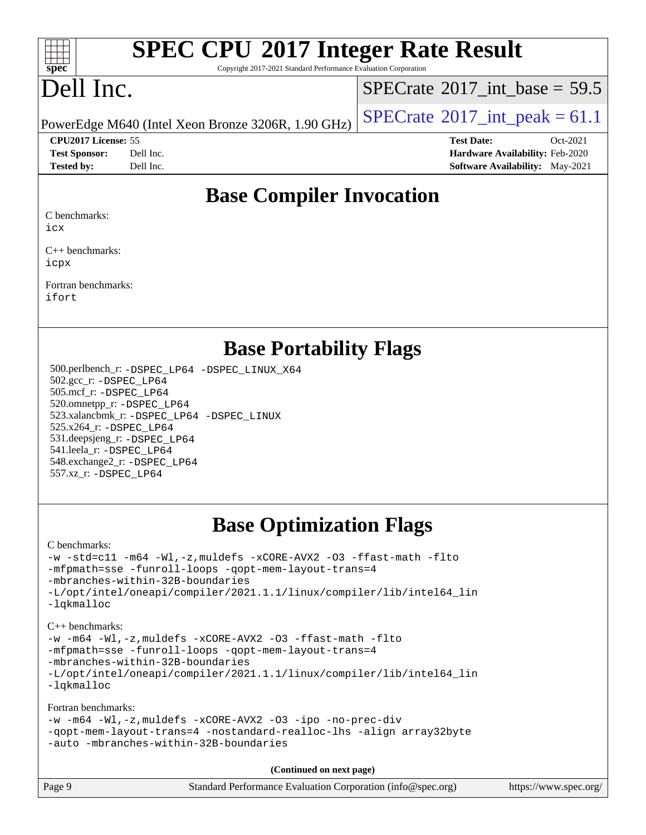#### $+\ +$ **[spec](http://www.spec.org/)**

# **[SPEC CPU](http://www.spec.org/auto/cpu2017/Docs/result-fields.html#SPECCPU2017IntegerRateResult)[2017 Integer Rate Result](http://www.spec.org/auto/cpu2017/Docs/result-fields.html#SPECCPU2017IntegerRateResult)**

Copyright 2017-2021 Standard Performance Evaluation Corporation

# Dell Inc.

 $SPECrate$ <sup>®</sup> $2017$ \_int\_base = 59.5

PowerEdge M640 (Intel Xeon Bronze 3206R, 1.90 GHz)  $\left|$  [SPECrate](http://www.spec.org/auto/cpu2017/Docs/result-fields.html#SPECrate2017intpeak)®[2017\\_int\\_peak =](http://www.spec.org/auto/cpu2017/Docs/result-fields.html#SPECrate2017intpeak) 61.1

**[CPU2017 License:](http://www.spec.org/auto/cpu2017/Docs/result-fields.html#CPU2017License)** 55 **[Test Date:](http://www.spec.org/auto/cpu2017/Docs/result-fields.html#TestDate)** Oct-2021 **[Test Sponsor:](http://www.spec.org/auto/cpu2017/Docs/result-fields.html#TestSponsor)** Dell Inc. **[Hardware Availability:](http://www.spec.org/auto/cpu2017/Docs/result-fields.html#HardwareAvailability)** Feb-2020 **[Tested by:](http://www.spec.org/auto/cpu2017/Docs/result-fields.html#Testedby)** Dell Inc. **[Software Availability:](http://www.spec.org/auto/cpu2017/Docs/result-fields.html#SoftwareAvailability)** May-2021

#### **[Base Compiler Invocation](http://www.spec.org/auto/cpu2017/Docs/result-fields.html#BaseCompilerInvocation)**

[C benchmarks:](http://www.spec.org/auto/cpu2017/Docs/result-fields.html#Cbenchmarks)

[icx](http://www.spec.org/cpu2017/results/res2021q4/cpu2017-20211026-29888.flags.html#user_CCbase_intel_icx_fe2d28d19ae2a5db7c42fe0f2a2aed77cb715edd4aeb23434404a8be6683fe239869bb6ca8154ca98265c2e3b9226a719a0efe2953a4a7018c379b7010ccf087)

[C++ benchmarks:](http://www.spec.org/auto/cpu2017/Docs/result-fields.html#CXXbenchmarks) [icpx](http://www.spec.org/cpu2017/results/res2021q4/cpu2017-20211026-29888.flags.html#user_CXXbase_intel_icpx_1e918ed14c436bf4b9b7c8bcdd51d4539fc71b3df010bd1e9f8732d9c34c2b2914e48204a846820f3c0ebb4095dea797a5c30b458ac0b6dffac65d78f781f5ca)

[Fortran benchmarks](http://www.spec.org/auto/cpu2017/Docs/result-fields.html#Fortranbenchmarks): [ifort](http://www.spec.org/cpu2017/results/res2021q4/cpu2017-20211026-29888.flags.html#user_FCbase_intel_ifort_8111460550e3ca792625aed983ce982f94888b8b503583aa7ba2b8303487b4d8a21a13e7191a45c5fd58ff318f48f9492884d4413fa793fd88dd292cad7027ca)

#### **[Base Portability Flags](http://www.spec.org/auto/cpu2017/Docs/result-fields.html#BasePortabilityFlags)**

 500.perlbench\_r: [-DSPEC\\_LP64](http://www.spec.org/cpu2017/results/res2021q4/cpu2017-20211026-29888.flags.html#b500.perlbench_r_basePORTABILITY_DSPEC_LP64) [-DSPEC\\_LINUX\\_X64](http://www.spec.org/cpu2017/results/res2021q4/cpu2017-20211026-29888.flags.html#b500.perlbench_r_baseCPORTABILITY_DSPEC_LINUX_X64) 502.gcc\_r: [-DSPEC\\_LP64](http://www.spec.org/cpu2017/results/res2021q4/cpu2017-20211026-29888.flags.html#suite_basePORTABILITY502_gcc_r_DSPEC_LP64) 505.mcf\_r: [-DSPEC\\_LP64](http://www.spec.org/cpu2017/results/res2021q4/cpu2017-20211026-29888.flags.html#suite_basePORTABILITY505_mcf_r_DSPEC_LP64) 520.omnetpp\_r: [-DSPEC\\_LP64](http://www.spec.org/cpu2017/results/res2021q4/cpu2017-20211026-29888.flags.html#suite_basePORTABILITY520_omnetpp_r_DSPEC_LP64) 523.xalancbmk\_r: [-DSPEC\\_LP64](http://www.spec.org/cpu2017/results/res2021q4/cpu2017-20211026-29888.flags.html#suite_basePORTABILITY523_xalancbmk_r_DSPEC_LP64) [-DSPEC\\_LINUX](http://www.spec.org/cpu2017/results/res2021q4/cpu2017-20211026-29888.flags.html#b523.xalancbmk_r_baseCXXPORTABILITY_DSPEC_LINUX) 525.x264\_r: [-DSPEC\\_LP64](http://www.spec.org/cpu2017/results/res2021q4/cpu2017-20211026-29888.flags.html#suite_basePORTABILITY525_x264_r_DSPEC_LP64) 531.deepsjeng\_r: [-DSPEC\\_LP64](http://www.spec.org/cpu2017/results/res2021q4/cpu2017-20211026-29888.flags.html#suite_basePORTABILITY531_deepsjeng_r_DSPEC_LP64) 541.leela\_r: [-DSPEC\\_LP64](http://www.spec.org/cpu2017/results/res2021q4/cpu2017-20211026-29888.flags.html#suite_basePORTABILITY541_leela_r_DSPEC_LP64) 548.exchange2\_r: [-DSPEC\\_LP64](http://www.spec.org/cpu2017/results/res2021q4/cpu2017-20211026-29888.flags.html#suite_basePORTABILITY548_exchange2_r_DSPEC_LP64) 557.xz\_r: [-DSPEC\\_LP64](http://www.spec.org/cpu2017/results/res2021q4/cpu2017-20211026-29888.flags.html#suite_basePORTABILITY557_xz_r_DSPEC_LP64)

## **[Base Optimization Flags](http://www.spec.org/auto/cpu2017/Docs/result-fields.html#BaseOptimizationFlags)**

[C benchmarks](http://www.spec.org/auto/cpu2017/Docs/result-fields.html#Cbenchmarks):

```
-w -std=c11 -m64 -Wl,-z,muldefs -xCORE-AVX2 -O3 -ffast-math -flto
-mfpmath=sse -funroll-loops -qopt-mem-layout-trans=4
-mbranches-within-32B-boundaries
-L/opt/intel/oneapi/compiler/2021.1.1/linux/compiler/lib/intel64_lin
-lqkmalloc
C++ benchmarks:
```

```
-w -m64 -Wl,-z,muldefs -xCORE-AVX2 -O3 -ffast-math -flto
-mfpmath=sse -funroll-loops -qopt-mem-layout-trans=4
-mbranches-within-32B-boundaries
-L/opt/intel/oneapi/compiler/2021.1.1/linux/compiler/lib/intel64_lin
-lqkmalloc
```
[Fortran benchmarks](http://www.spec.org/auto/cpu2017/Docs/result-fields.html#Fortranbenchmarks):

```
-w -m64 -Wl,-z,muldefs -xCORE-AVX2 -O3 -ipo -no-prec-div
-qopt-mem-layout-trans=4 -nostandard-realloc-lhs -align array32byte
-auto -mbranches-within-32B-boundaries
```
**(Continued on next page)**

| Page 9 | Standard Performance Evaluation Corporation (info@spec.org) | https://www.spec.org/ |
|--------|-------------------------------------------------------------|-----------------------|
|--------|-------------------------------------------------------------|-----------------------|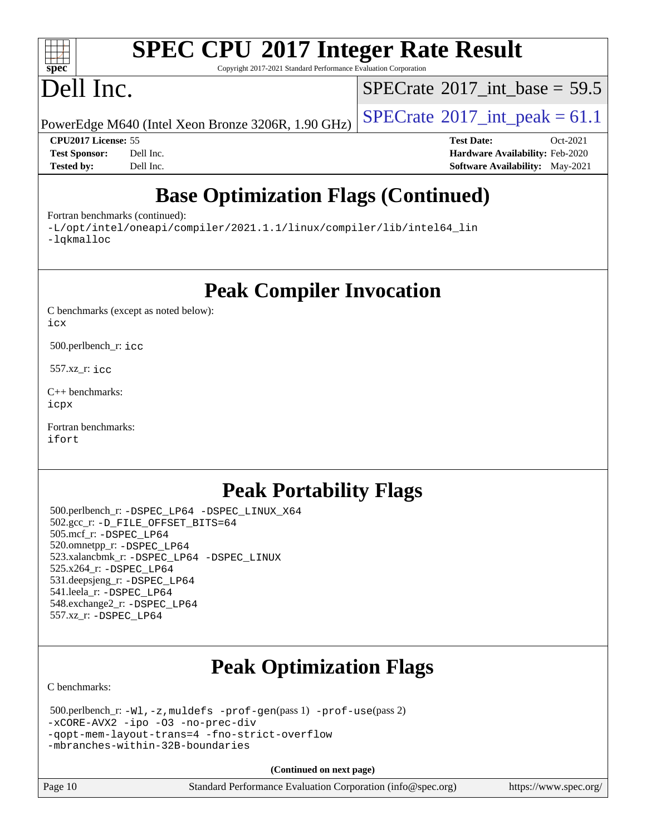#### $+\ +$ **[spec](http://www.spec.org/)**

# **[SPEC CPU](http://www.spec.org/auto/cpu2017/Docs/result-fields.html#SPECCPU2017IntegerRateResult)[2017 Integer Rate Result](http://www.spec.org/auto/cpu2017/Docs/result-fields.html#SPECCPU2017IntegerRateResult)**

Copyright 2017-2021 Standard Performance Evaluation Corporation

## Dell Inc.

[SPECrate](http://www.spec.org/auto/cpu2017/Docs/result-fields.html#SPECrate2017intbase)®2017 int\_base =  $59.5$ 

PowerEdge M640 (Intel Xeon Bronze 3206R, 1.90 GHz)  $\left|$  [SPECrate](http://www.spec.org/auto/cpu2017/Docs/result-fields.html#SPECrate2017intpeak)®[2017\\_int\\_peak =](http://www.spec.org/auto/cpu2017/Docs/result-fields.html#SPECrate2017intpeak) 61.1

**[CPU2017 License:](http://www.spec.org/auto/cpu2017/Docs/result-fields.html#CPU2017License)** 55 **[Test Date:](http://www.spec.org/auto/cpu2017/Docs/result-fields.html#TestDate)** Oct-2021 **[Test Sponsor:](http://www.spec.org/auto/cpu2017/Docs/result-fields.html#TestSponsor)** Dell Inc. **[Hardware Availability:](http://www.spec.org/auto/cpu2017/Docs/result-fields.html#HardwareAvailability)** Feb-2020 **[Tested by:](http://www.spec.org/auto/cpu2017/Docs/result-fields.html#Testedby)** Dell Inc. **[Software Availability:](http://www.spec.org/auto/cpu2017/Docs/result-fields.html#SoftwareAvailability)** May-2021

## **[Base Optimization Flags \(Continued\)](http://www.spec.org/auto/cpu2017/Docs/result-fields.html#BaseOptimizationFlags)**

[Fortran benchmarks](http://www.spec.org/auto/cpu2017/Docs/result-fields.html#Fortranbenchmarks) (continued):

[-L/opt/intel/oneapi/compiler/2021.1.1/linux/compiler/lib/intel64\\_lin](http://www.spec.org/cpu2017/results/res2021q4/cpu2017-20211026-29888.flags.html#user_FCbase_linkpath_f3ac96bc44eb3356c66274e76f12ce7989555e6431aa425d8bf37251b5a0a8e4f20d385a762420f3e0cdf627bb737484454017ddfa67f55a42ce17058c8be12d) [-lqkmalloc](http://www.spec.org/cpu2017/results/res2021q4/cpu2017-20211026-29888.flags.html#user_FCbase_qkmalloc_link_lib_79a818439969f771c6bc311cfd333c00fc099dad35c030f5aab9dda831713d2015205805422f83de8875488a2991c0a156aaa600e1f9138f8fc37004abc96dc5)

**[Peak Compiler Invocation](http://www.spec.org/auto/cpu2017/Docs/result-fields.html#PeakCompilerInvocation)**

[C benchmarks \(except as noted below\)](http://www.spec.org/auto/cpu2017/Docs/result-fields.html#Cbenchmarksexceptasnotedbelow): [icx](http://www.spec.org/cpu2017/results/res2021q4/cpu2017-20211026-29888.flags.html#user_CCpeak_intel_icx_fe2d28d19ae2a5db7c42fe0f2a2aed77cb715edd4aeb23434404a8be6683fe239869bb6ca8154ca98265c2e3b9226a719a0efe2953a4a7018c379b7010ccf087)

500.perlbench\_r: [icc](http://www.spec.org/cpu2017/results/res2021q4/cpu2017-20211026-29888.flags.html#user_peakCCLD500_perlbench_r_intel_icc_66fc1ee009f7361af1fbd72ca7dcefbb700085f36577c54f309893dd4ec40d12360134090235512931783d35fd58c0460139e722d5067c5574d8eaf2b3e37e92)

557.xz\_r: [icc](http://www.spec.org/cpu2017/results/res2021q4/cpu2017-20211026-29888.flags.html#user_peakCCLD557_xz_r_intel_icc_66fc1ee009f7361af1fbd72ca7dcefbb700085f36577c54f309893dd4ec40d12360134090235512931783d35fd58c0460139e722d5067c5574d8eaf2b3e37e92)

[C++ benchmarks:](http://www.spec.org/auto/cpu2017/Docs/result-fields.html#CXXbenchmarks) [icpx](http://www.spec.org/cpu2017/results/res2021q4/cpu2017-20211026-29888.flags.html#user_CXXpeak_intel_icpx_1e918ed14c436bf4b9b7c8bcdd51d4539fc71b3df010bd1e9f8732d9c34c2b2914e48204a846820f3c0ebb4095dea797a5c30b458ac0b6dffac65d78f781f5ca)

[Fortran benchmarks](http://www.spec.org/auto/cpu2017/Docs/result-fields.html#Fortranbenchmarks): [ifort](http://www.spec.org/cpu2017/results/res2021q4/cpu2017-20211026-29888.flags.html#user_FCpeak_intel_ifort_8111460550e3ca792625aed983ce982f94888b8b503583aa7ba2b8303487b4d8a21a13e7191a45c5fd58ff318f48f9492884d4413fa793fd88dd292cad7027ca)

### **[Peak Portability Flags](http://www.spec.org/auto/cpu2017/Docs/result-fields.html#PeakPortabilityFlags)**

 500.perlbench\_r: [-DSPEC\\_LP64](http://www.spec.org/cpu2017/results/res2021q4/cpu2017-20211026-29888.flags.html#b500.perlbench_r_peakPORTABILITY_DSPEC_LP64) [-DSPEC\\_LINUX\\_X64](http://www.spec.org/cpu2017/results/res2021q4/cpu2017-20211026-29888.flags.html#b500.perlbench_r_peakCPORTABILITY_DSPEC_LINUX_X64) 502.gcc\_r: [-D\\_FILE\\_OFFSET\\_BITS=64](http://www.spec.org/cpu2017/results/res2021q4/cpu2017-20211026-29888.flags.html#user_peakPORTABILITY502_gcc_r_file_offset_bits_64_5ae949a99b284ddf4e95728d47cb0843d81b2eb0e18bdfe74bbf0f61d0b064f4bda2f10ea5eb90e1dcab0e84dbc592acfc5018bc955c18609f94ddb8d550002c) 505.mcf\_r: [-DSPEC\\_LP64](http://www.spec.org/cpu2017/results/res2021q4/cpu2017-20211026-29888.flags.html#suite_peakPORTABILITY505_mcf_r_DSPEC_LP64) 520.omnetpp\_r: [-DSPEC\\_LP64](http://www.spec.org/cpu2017/results/res2021q4/cpu2017-20211026-29888.flags.html#suite_peakPORTABILITY520_omnetpp_r_DSPEC_LP64) 523.xalancbmk\_r: [-DSPEC\\_LP64](http://www.spec.org/cpu2017/results/res2021q4/cpu2017-20211026-29888.flags.html#suite_peakPORTABILITY523_xalancbmk_r_DSPEC_LP64) [-DSPEC\\_LINUX](http://www.spec.org/cpu2017/results/res2021q4/cpu2017-20211026-29888.flags.html#b523.xalancbmk_r_peakCXXPORTABILITY_DSPEC_LINUX) 525.x264\_r: [-DSPEC\\_LP64](http://www.spec.org/cpu2017/results/res2021q4/cpu2017-20211026-29888.flags.html#suite_peakPORTABILITY525_x264_r_DSPEC_LP64) 531.deepsjeng\_r: [-DSPEC\\_LP64](http://www.spec.org/cpu2017/results/res2021q4/cpu2017-20211026-29888.flags.html#suite_peakPORTABILITY531_deepsjeng_r_DSPEC_LP64) 541.leela\_r: [-DSPEC\\_LP64](http://www.spec.org/cpu2017/results/res2021q4/cpu2017-20211026-29888.flags.html#suite_peakPORTABILITY541_leela_r_DSPEC_LP64) 548.exchange2\_r: [-DSPEC\\_LP64](http://www.spec.org/cpu2017/results/res2021q4/cpu2017-20211026-29888.flags.html#suite_peakPORTABILITY548_exchange2_r_DSPEC_LP64) 557.xz\_r: [-DSPEC\\_LP64](http://www.spec.org/cpu2017/results/res2021q4/cpu2017-20211026-29888.flags.html#suite_peakPORTABILITY557_xz_r_DSPEC_LP64)

## **[Peak Optimization Flags](http://www.spec.org/auto/cpu2017/Docs/result-fields.html#PeakOptimizationFlags)**

[C benchmarks](http://www.spec.org/auto/cpu2017/Docs/result-fields.html#Cbenchmarks):

 500.perlbench\_r: [-Wl,-z,muldefs](http://www.spec.org/cpu2017/results/res2021q4/cpu2017-20211026-29888.flags.html#user_peakEXTRA_LDFLAGS500_perlbench_r_link_force_multiple1_b4cbdb97b34bdee9ceefcfe54f4c8ea74255f0b02a4b23e853cdb0e18eb4525ac79b5a88067c842dd0ee6996c24547a27a4b99331201badda8798ef8a743f577) [-prof-gen](http://www.spec.org/cpu2017/results/res2021q4/cpu2017-20211026-29888.flags.html#user_peakPASS1_CFLAGSPASS1_LDFLAGS500_perlbench_r_prof_gen_5aa4926d6013ddb2a31985c654b3eb18169fc0c6952a63635c234f711e6e63dd76e94ad52365559451ec499a2cdb89e4dc58ba4c67ef54ca681ffbe1461d6b36)(pass 1) [-prof-use](http://www.spec.org/cpu2017/results/res2021q4/cpu2017-20211026-29888.flags.html#user_peakPASS2_CFLAGSPASS2_LDFLAGS500_perlbench_r_prof_use_1a21ceae95f36a2b53c25747139a6c16ca95bd9def2a207b4f0849963b97e94f5260e30a0c64f4bb623698870e679ca08317ef8150905d41bd88c6f78df73f19)(pass 2) [-xCORE-AVX2](http://www.spec.org/cpu2017/results/res2021q4/cpu2017-20211026-29888.flags.html#user_peakCOPTIMIZE500_perlbench_r_f-xCORE-AVX2) [-ipo](http://www.spec.org/cpu2017/results/res2021q4/cpu2017-20211026-29888.flags.html#user_peakCOPTIMIZE500_perlbench_r_f-ipo) [-O3](http://www.spec.org/cpu2017/results/res2021q4/cpu2017-20211026-29888.flags.html#user_peakCOPTIMIZE500_perlbench_r_f-O3) [-no-prec-div](http://www.spec.org/cpu2017/results/res2021q4/cpu2017-20211026-29888.flags.html#user_peakCOPTIMIZE500_perlbench_r_f-no-prec-div) [-qopt-mem-layout-trans=4](http://www.spec.org/cpu2017/results/res2021q4/cpu2017-20211026-29888.flags.html#user_peakCOPTIMIZE500_perlbench_r_f-qopt-mem-layout-trans_fa39e755916c150a61361b7846f310bcdf6f04e385ef281cadf3647acec3f0ae266d1a1d22d972a7087a248fd4e6ca390a3634700869573d231a252c784941a8) [-fno-strict-overflow](http://www.spec.org/cpu2017/results/res2021q4/cpu2017-20211026-29888.flags.html#user_peakEXTRA_OPTIMIZE500_perlbench_r_f-fno-strict-overflow) [-mbranches-within-32B-boundaries](http://www.spec.org/cpu2017/results/res2021q4/cpu2017-20211026-29888.flags.html#user_peakEXTRA_COPTIMIZE500_perlbench_r_f-mbranches-within-32B-boundaries)

**(Continued on next page)**

Page 10 Standard Performance Evaluation Corporation [\(info@spec.org\)](mailto:info@spec.org) <https://www.spec.org/>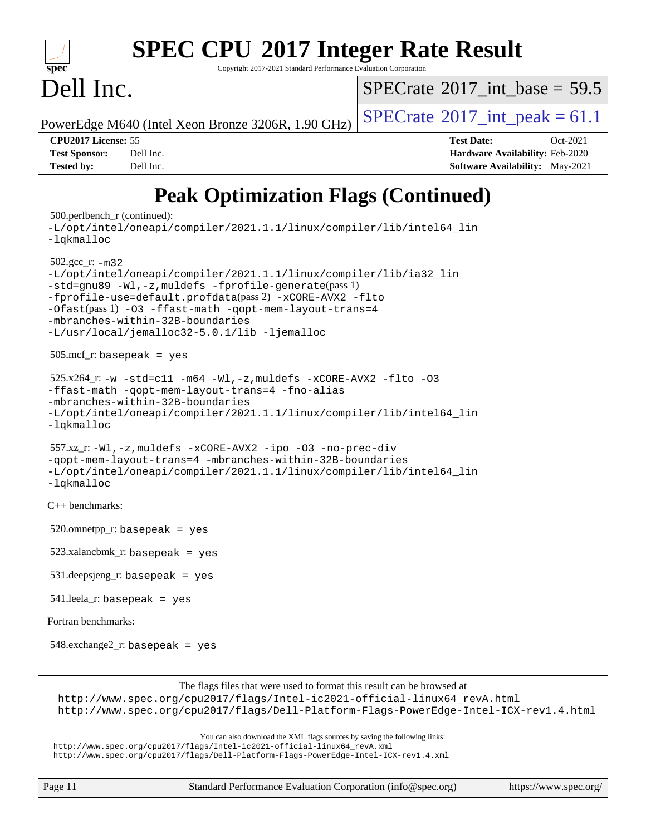

# **[SPEC CPU](http://www.spec.org/auto/cpu2017/Docs/result-fields.html#SPECCPU2017IntegerRateResult)[2017 Integer Rate Result](http://www.spec.org/auto/cpu2017/Docs/result-fields.html#SPECCPU2017IntegerRateResult)**

Copyright 2017-2021 Standard Performance Evaluation Corporation

## Dell Inc.

[SPECrate](http://www.spec.org/auto/cpu2017/Docs/result-fields.html#SPECrate2017intbase)®2017 int\_base =  $59.5$ 

PowerEdge M640 (Intel Xeon Bronze 3206R, 1.90 GHz)  $\left|$  [SPECrate](http://www.spec.org/auto/cpu2017/Docs/result-fields.html#SPECrate2017intpeak)®[2017\\_int\\_peak =](http://www.spec.org/auto/cpu2017/Docs/result-fields.html#SPECrate2017intpeak) 61.1

**[CPU2017 License:](http://www.spec.org/auto/cpu2017/Docs/result-fields.html#CPU2017License)** 55 **[Test Date:](http://www.spec.org/auto/cpu2017/Docs/result-fields.html#TestDate)** Oct-2021 **[Test Sponsor:](http://www.spec.org/auto/cpu2017/Docs/result-fields.html#TestSponsor)** Dell Inc. **[Hardware Availability:](http://www.spec.org/auto/cpu2017/Docs/result-fields.html#HardwareAvailability)** Feb-2020 **[Tested by:](http://www.spec.org/auto/cpu2017/Docs/result-fields.html#Testedby)** Dell Inc. Dell Inc. **[Software Availability:](http://www.spec.org/auto/cpu2017/Docs/result-fields.html#SoftwareAvailability)** May-2021

## **[Peak Optimization Flags \(Continued\)](http://www.spec.org/auto/cpu2017/Docs/result-fields.html#PeakOptimizationFlags)**

```
 500.perlbench_r (continued):
-L/opt/intel/oneapi/compiler/2021.1.1/linux/compiler/lib/intel64_lin
-lqkmalloc
 502.gcc_r: -m32
-L/opt/intel/oneapi/compiler/2021.1.1/linux/compiler/lib/ia32_lin
-std=gnu89 -Wl,-z,muldefs -fprofile-generate(pass 1)
-fprofile-use=default.profdata(pass 2) -xCORE-AVX2 -flto
-Ofast(pass 1) -O3 -ffast-math -qopt-mem-layout-trans=4
-mbranches-within-32B-boundaries
-L/usr/local/jemalloc32-5.0.1/lib -ljemalloc
 505.mcf_r: basepeak = yes
525.x264_r: -w -std= c11 -m64 -Wl, -z, muldefs -xCORE-AVX2 -flto -03-ffast-math -qopt-mem-layout-trans=4 -fno-alias
-mbranches-within-32B-boundaries
-L/opt/intel/oneapi/compiler/2021.1.1/linux/compiler/lib/intel64_lin
-lqkmalloc
 557.xz_r: -Wl,-z,muldefs -xCORE-AVX2 -ipo -O3 -no-prec-div
-qopt-mem-layout-trans=4 -mbranches-within-32B-boundaries
-L/opt/intel/oneapi/compiler/2021.1.1/linux/compiler/lib/intel64_lin
-lqkmalloc
C++ benchmarks: 
520.omnetpp_r: basepeak = yes
 523.xalancbmk_r: basepeak = yes
 531.deepsjeng_r: basepeak = yes
 541.leela_r: basepeak = yes
Fortran benchmarks: 
 548.exchange2_r: basepeak = yes
                       The flags files that were used to format this result can be browsed at
 http://www.spec.org/cpu2017/flags/Intel-ic2021-official-linux64_revA.html
 http://www.spec.org/cpu2017/flags/Dell-Platform-Flags-PowerEdge-Intel-ICX-rev1.4.html
                           You can also download the XML flags sources by saving the following links:
http://www.spec.org/cpu2017/flags/Intel-ic2021-official-linux64_revA.xml
http://www.spec.org/cpu2017/flags/Dell-Platform-Flags-PowerEdge-Intel-ICX-rev1.4.xml
```